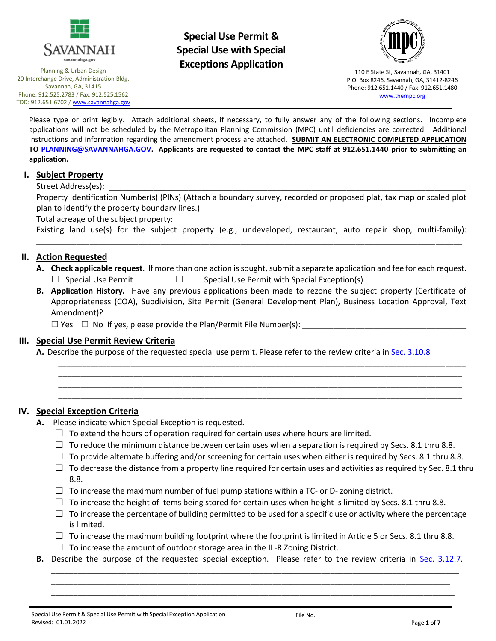

Planning & Urban Design 20 Interchange Drive, Administration Bldg. Savannah, GA, 31415 Phone: 912.525.2783 / Fax: 912.525.1562 TDD: 912.651.6702 [/ www.savannahga.gov](http://www.savannahga.gov/)

# **Special Use Permit & Special Use with Special Exceptions Application**



110 E State St, Savannah, GA, 31401 P.O. Box 8246, Savannah, GA, 31412-8246 Phone: 912.651.1440 / Fax: 912.651.1480 [www.thempc.org](http://www.thempc.org/)

Please type or print legibly. Attach additional sheets, if necessary, to fully answer any of the following sections. Incomplete applications will not be scheduled by the Metropolitan Planning Commission (MPC) until deficiencies are corrected. Additional instructions and information regarding the amendment process are attached. **SUBMIT AN ELECTRONIC COMPLETED APPLICATION TO [PLANNING@SAVANNAHGA.GOV.](mailto:PLANNING@SAVANNAHGA.GOV) Applicants are requested to contact the MPC staff at 912.651.1440 prior to submitting an application.**

#### **I. Subject Property**

#### Street Address(es):

Property Identification Number(s) (PINs) (Attach a boundary survey, recorded or proposed plat, tax map or scaled plot plan to identify the property boundary lines.) \_\_\_\_\_\_\_\_\_\_\_\_\_\_\_\_\_\_\_\_\_\_\_\_\_\_\_\_\_\_\_\_\_

Total acreage of the subject property:

Existing land use(s) for the subject property (e.g., undeveloped, restaurant, auto repair shop, multi-family): \_\_\_\_\_\_\_\_\_\_\_\_\_\_\_\_\_\_\_\_\_\_\_\_\_\_\_\_\_\_\_\_\_\_\_\_\_\_\_\_\_\_\_\_\_\_\_\_\_\_\_\_\_\_\_\_\_\_\_\_\_\_\_\_\_\_\_\_\_\_\_\_\_\_\_\_\_\_\_\_\_\_\_\_\_\_\_\_\_\_\_\_\_\_\_\_

#### **II. Action Requested**

- **A. Check applicable request**. If more than one action is sought, submit a separate application and fee for each request.  $\Box$  Special Use Permit  $\Box$  Special Use Permit with Special Exception(s)
- **B. Application History.** Have any previous applications been made to rezone the subject property (Certificate of Appropriateness (COA), Subdivision, Site Permit (General Development Plan), Business Location Approval, Text Amendment)?

 $\Box$  Yes  $\Box$  No If yes, please provide the Plan/Permit File Number(s):

#### **III. Special Use Permit Review Criteria**

**A.** Describe the purpose of the requested special use permit. Please refer to the review criteria i[n Sec. 3.10.8](http://online.encodeplus.com/regs/savannah-ga/doc-viewer.aspx#secid-5155)

#### **IV. Special Exception Criteria**

- **A.** Please indicate which Special Exception is requested.
	- $\Box$  To extend the hours of operation required for certain uses where hours are limited.
	- $\Box$  To reduce the minimum distance between certain uses when a separation is required by Secs. 8.1 thru 8.8.
	- $\Box$  To provide alternate buffering and/or screening for certain uses when either is required by Secs. 8.1 thru 8.8.

\_\_\_\_\_\_\_\_\_\_\_\_\_\_\_\_\_\_\_\_\_\_\_\_\_\_\_\_\_\_\_\_\_\_\_\_\_\_\_\_\_\_\_\_\_\_\_\_\_\_\_\_\_\_\_\_\_\_\_\_\_\_\_\_\_\_\_\_\_\_\_\_\_\_\_\_\_\_\_\_\_\_\_\_\_\_\_\_\_\_\_\_\_\_\_\_\_\_\_\_\_ \_\_\_\_\_\_\_\_\_\_\_\_\_\_\_\_\_\_\_\_\_\_\_\_\_\_\_\_\_\_\_\_\_\_\_\_\_\_\_\_\_\_\_\_\_\_\_\_\_\_\_\_\_\_\_\_\_\_\_\_\_\_\_\_\_\_\_\_\_\_\_\_\_\_\_\_\_\_\_\_\_\_\_\_\_\_\_\_\_\_\_ \_\_\_\_\_\_\_\_\_\_\_\_\_\_\_\_\_\_\_\_\_\_\_\_\_\_\_\_\_\_\_\_\_\_\_\_\_\_\_\_\_\_\_\_\_\_\_\_\_\_\_\_\_\_\_\_\_\_\_\_\_\_\_\_\_\_\_\_\_\_\_\_\_\_\_\_\_\_\_\_\_\_\_\_\_\_\_\_\_\_\_ \_\_\_\_\_\_\_\_\_\_\_\_\_\_\_\_\_\_\_\_\_\_\_\_\_\_\_\_\_\_\_\_\_\_\_\_\_\_\_\_\_\_\_\_\_\_\_\_\_\_\_\_\_\_\_\_\_\_\_\_\_\_\_\_\_\_\_\_\_\_\_\_\_\_\_\_\_\_\_\_\_\_\_\_\_\_\_\_\_\_\_

- $\Box$  To decrease the distance from a property line required for certain uses and activities as required by Sec. 8.1 thru 8.8.
- $\Box$  To increase the maximum number of fuel pump stations within a TC- or D- zoning district.
- $\Box$  To increase the height of items being stored for certain uses when height is limited by Secs. 8.1 thru 8.8.
- $\Box$  To increase the percentage of building permitted to be used for a specific use or activity where the percentage is limited.
- $\Box$  To increase the maximum building footprint where the footprint is limited in Article 5 or Secs. 8.1 thru 8.8.
- $\Box$  To increase the amount of outdoor storage area in the IL-R Zoning District.
- **B.** Describe the purpose of the requested special exception. Please refer to the review criteria in [Sec. 3.12.7.](http://online.encodeplus.com/regs/savannah-ga/doc-viewer.aspx#secid-5169) \_\_\_\_\_\_\_\_\_\_\_\_\_\_\_\_\_\_\_\_\_\_\_\_\_\_\_\_\_\_\_\_\_\_\_\_\_\_\_\_\_\_\_\_\_\_\_\_\_\_\_\_\_\_\_\_\_\_\_\_\_\_\_\_\_\_\_\_\_\_\_\_\_\_\_\_\_\_\_\_\_\_\_\_\_\_\_\_\_\_\_\_

\_\_\_\_\_\_\_\_\_\_\_\_\_\_\_\_\_\_\_\_\_\_\_\_\_\_\_\_\_\_\_\_\_\_\_\_\_\_\_\_\_\_\_\_\_\_\_\_\_\_\_\_\_\_\_\_\_\_\_\_\_\_\_\_\_\_\_\_\_\_\_\_\_\_\_\_\_\_\_\_\_\_\_\_\_\_\_\_\_\_ \_\_\_\_\_\_\_\_\_\_\_\_\_\_\_\_\_\_\_\_\_\_\_\_\_\_\_\_\_\_\_\_\_\_\_\_\_\_\_\_\_\_\_\_\_\_\_\_\_\_\_\_\_\_\_\_\_\_\_\_\_\_\_\_\_\_\_\_\_\_\_\_\_\_\_\_\_\_\_\_\_\_\_\_\_\_\_\_\_\_\_

File No.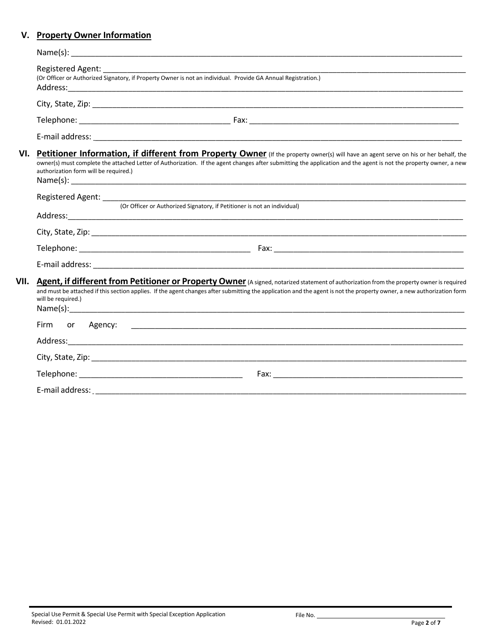## **V. Property Owner Information**

|      | <b>Registered Agent:</b><br>(Or Officer or Authorized Signatory, if Property Owner is not an individual. Provide GA Annual Registration.)                                                                                                                                                                                                           |                                                                                                                                                                                                                                                                                                                    |  |
|------|-----------------------------------------------------------------------------------------------------------------------------------------------------------------------------------------------------------------------------------------------------------------------------------------------------------------------------------------------------|--------------------------------------------------------------------------------------------------------------------------------------------------------------------------------------------------------------------------------------------------------------------------------------------------------------------|--|
|      |                                                                                                                                                                                                                                                                                                                                                     |                                                                                                                                                                                                                                                                                                                    |  |
|      |                                                                                                                                                                                                                                                                                                                                                     |                                                                                                                                                                                                                                                                                                                    |  |
|      |                                                                                                                                                                                                                                                                                                                                                     |                                                                                                                                                                                                                                                                                                                    |  |
| VI.  | Petitioner Information, if different from Property Owner (If the property owner(s) will have an agent serve on his or her behalf, the<br>owner(s) must complete the attached Letter of Authorization. If the agent changes after submitting the application and the agent is not the property owner, a new<br>authorization form will be required.) |                                                                                                                                                                                                                                                                                                                    |  |
|      |                                                                                                                                                                                                                                                                                                                                                     |                                                                                                                                                                                                                                                                                                                    |  |
|      | (Or Officer or Authorized Signatory, if Petitioner is not an individual)                                                                                                                                                                                                                                                                            |                                                                                                                                                                                                                                                                                                                    |  |
|      |                                                                                                                                                                                                                                                                                                                                                     |                                                                                                                                                                                                                                                                                                                    |  |
|      |                                                                                                                                                                                                                                                                                                                                                     |                                                                                                                                                                                                                                                                                                                    |  |
|      |                                                                                                                                                                                                                                                                                                                                                     |                                                                                                                                                                                                                                                                                                                    |  |
| VII. | will be required.)<br>Name(s):                                                                                                                                                                                                                                                                                                                      | Agent, if different from Petitioner or Property Owner (A signed, notarized statement of authorization from the property owner is required<br>and must be attached if this section applies. If the agent changes after submitting the application and the agent is not the property owner, a new authorization form |  |
|      | Firm or Agency:                                                                                                                                                                                                                                                                                                                                     | <u> 1989 - Johann Barnett, fransk politiker (d. 1989)</u>                                                                                                                                                                                                                                                          |  |
|      |                                                                                                                                                                                                                                                                                                                                                     |                                                                                                                                                                                                                                                                                                                    |  |
|      |                                                                                                                                                                                                                                                                                                                                                     |                                                                                                                                                                                                                                                                                                                    |  |
|      |                                                                                                                                                                                                                                                                                                                                                     |                                                                                                                                                                                                                                                                                                                    |  |
|      |                                                                                                                                                                                                                                                                                                                                                     |                                                                                                                                                                                                                                                                                                                    |  |

File No.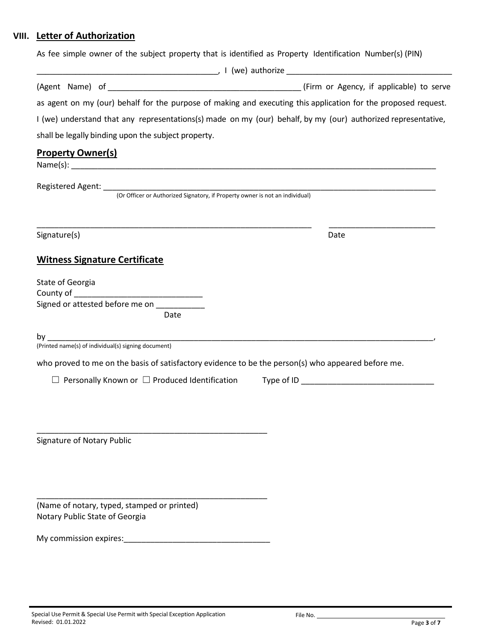## **VIII. Letter of Authorization**

As fee simple owner of the subject property that is identified as Property Identification Number(s) (PIN)

|                                                                                                    | as agent on my (our) behalf for the purpose of making and executing this application for the proposed request. |
|----------------------------------------------------------------------------------------------------|----------------------------------------------------------------------------------------------------------------|
|                                                                                                    | I (we) understand that any representations(s) made on my (our) behalf, by my (our) authorized representative,  |
| shall be legally binding upon the subject property.                                                |                                                                                                                |
| <b>Property Owner(s)</b>                                                                           |                                                                                                                |
|                                                                                                    |                                                                                                                |
|                                                                                                    |                                                                                                                |
| Signature(s)                                                                                       | Date                                                                                                           |
| <b>Witness Signature Certificate</b>                                                               |                                                                                                                |
| State of Georgia                                                                                   |                                                                                                                |
|                                                                                                    |                                                                                                                |
|                                                                                                    |                                                                                                                |
| Date                                                                                               |                                                                                                                |
|                                                                                                    |                                                                                                                |
| (Printed name(s) of individual(s) signing document)                                                |                                                                                                                |
| who proved to me on the basis of satisfactory evidence to be the person(s) who appeared before me. |                                                                                                                |
|                                                                                                    |                                                                                                                |
|                                                                                                    |                                                                                                                |
|                                                                                                    |                                                                                                                |
|                                                                                                    |                                                                                                                |
| Signature of Notary Public                                                                         |                                                                                                                |
|                                                                                                    |                                                                                                                |
|                                                                                                    |                                                                                                                |
|                                                                                                    |                                                                                                                |
| (Name of notary, typed, stamped or printed)                                                        |                                                                                                                |
| Notary Public State of Georgia                                                                     |                                                                                                                |
| My commission expires: Management Commission expires:                                              |                                                                                                                |
|                                                                                                    |                                                                                                                |
|                                                                                                    |                                                                                                                |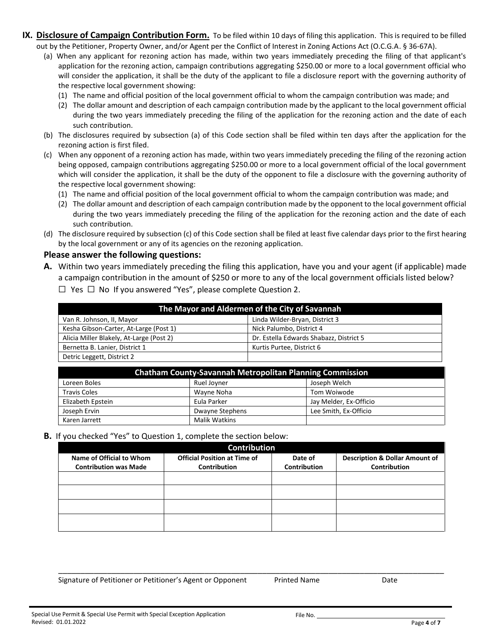- **IX. Disclosure of Campaign Contribution Form.** To be filed within 10 days of filing this application. This is required to be filled out by the Petitioner, Property Owner, and/or Agent per the Conflict of Interest in Zoning Actions Act (O.C.G.A. § 36-67A).
	- (a) When any applicant for rezoning action has made, within two years immediately preceding the filing of that applicant's application for the rezoning action, campaign contributions aggregating \$250.00 or more to a local government official who will consider the application, it shall be the duty of the applicant to file a disclosure report with the governing authority of the respective local government showing:
		- (1) The name and official position of the local government official to whom the campaign contribution was made; and
		- (2) The dollar amount and description of each campaign contribution made by the applicant to the local government official during the two years immediately preceding the filing of the application for the rezoning action and the date of each such contribution.
	- (b) The disclosures required by subsection (a) of this Code section shall be filed within ten days after the application for the rezoning action is first filed.
	- (c) When any opponent of a rezoning action has made, within two years immediately preceding the filing of the rezoning action being opposed, campaign contributions aggregating \$250.00 or more to a local government official of the local government which will consider the application, it shall be the duty of the opponent to file a disclosure with the governing authority of the respective local government showing:
		- (1) The name and official position of the local government official to whom the campaign contribution was made; and
		- (2) The dollar amount and description of each campaign contribution made by the opponent to the local government official during the two years immediately preceding the filing of the application for the rezoning action and the date of each such contribution.
	- (d) The disclosure required by subsection (c) of this Code section shall be filed at least five calendar days prior to the first hearing by the local government or any of its agencies on the rezoning application.

### **Please answer the following questions:**

**A.** Within two years immediately preceding the filing this application, have you and your agent (if applicable) made a campaign contribution in the amount of \$250 or more to any of the local government officials listed below? ☐ Yes ☐ No If you answered "Yes", please complete Question 2.

| The Mayor and Aldermen of the City of Savannah |                                         |  |  |  |
|------------------------------------------------|-----------------------------------------|--|--|--|
| Van R. Johnson, II, Mayor                      | Linda Wilder-Bryan, District 3          |  |  |  |
| Kesha Gibson-Carter, At-Large (Post 1)         | Nick Palumbo, District 4                |  |  |  |
| Alicia Miller Blakely, At-Large (Post 2)       | Dr. Estella Edwards Shabazz, District 5 |  |  |  |
| Bernetta B. Lanier, District 1                 | Kurtis Purtee, District 6               |  |  |  |
| Detric Leggett, District 2                     |                                         |  |  |  |

| <b>Chatham County-Savannah Metropolitan Planning Commission</b> |                        |                        |  |  |  |
|-----------------------------------------------------------------|------------------------|------------------------|--|--|--|
| Loreen Boles                                                    | Ruel Jovner            | Joseph Welch           |  |  |  |
| <b>Travis Coles</b>                                             | Wayne Noha             | Tom Woiwode            |  |  |  |
| Elizabeth Epstein                                               | Eula Parker            | Jay Melder, Ex-Officio |  |  |  |
| Joseph Ervin                                                    | <b>Dwayne Stephens</b> | Lee Smith, Ex-Officio  |  |  |  |
| Karen Jarrett                                                   | Malik Watkins          |                        |  |  |  |

**B.** If you checked "Yes" to Question 1, complete the section below:

| <b>Contribution</b>                                      |                                                     |                                |                                                                  |  |  |  |
|----------------------------------------------------------|-----------------------------------------------------|--------------------------------|------------------------------------------------------------------|--|--|--|
| Name of Official to Whom<br><b>Contribution was Made</b> | <b>Official Position at Time of</b><br>Contribution | Date of<br><b>Contribution</b> | <b>Description &amp; Dollar Amount of</b><br><b>Contribution</b> |  |  |  |
|                                                          |                                                     |                                |                                                                  |  |  |  |
|                                                          |                                                     |                                |                                                                  |  |  |  |
|                                                          |                                                     |                                |                                                                  |  |  |  |
|                                                          |                                                     |                                |                                                                  |  |  |  |

\_\_\_\_\_\_\_\_\_\_\_\_\_\_\_\_\_\_\_\_\_\_\_\_\_\_\_\_\_\_\_\_\_\_\_\_\_\_\_\_\_\_\_\_\_\_\_\_\_\_\_\_\_\_\_\_\_\_\_\_\_\_\_\_\_\_\_\_\_\_\_\_\_\_\_\_\_\_\_\_\_\_\_\_\_\_\_

Signature of Petitioner or Petitioner's Agent or Opponent Printed Name Date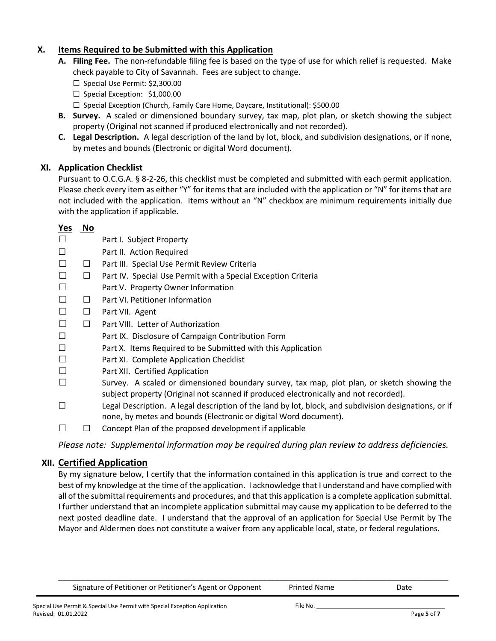## **X. Items Required to be Submitted with this Application**

- **A. Filing Fee.** The non-refundable filing fee is based on the type of use for which relief is requested. Make check payable to City of Savannah. Fees are subject to change.
	- ☐ Special Use Permit: \$2,300.00
	- □ Special Exception: \$1,000.00
	- ☐ Special Exception (Church, Family Care Home, Daycare, Institutional): \$500.00
- **B. Survey.** A scaled or dimensioned boundary survey, tax map, plot plan, or sketch showing the subject property (Original not scanned if produced electronically and not recorded).
- **C. Legal Description.** A legal description of the land by lot, block, and subdivision designations, or if none, by metes and bounds (Electronic or digital Word document).

## **XI. Application Checklist**

Pursuant to O.C.G.A. § 8-2-26, this checklist must be completed and submitted with each permit application. Please check every item as either "Y" for items that are included with the application or "N" for items that are not included with the application. Items without an "N" checkbox are minimum requirements initially due with the application if applicable.

## **Yes No**

- ☐ Part I. Subject Property
- ☐ Part II. Action Required
- ☐ ☐ Part III. Special Use Permit Review Criteria
- ☐ ☐ Part IV. Special Use Permit with a Special Exception Criteria
- ☐ Part V. Property Owner Information
- ☐ ☐ Part VI. Petitioner Information
- ☐ ☐ Part VII. Agent
- ☐ ☐ Part VIII. Letter of Authorization
- ☐ Part IX. Disclosure of Campaign Contribution Form
- ☐ Part X. Items Required to be Submitted with this Application
- ☐ Part XI. Complete Application Checklist
- ☐ Part XII. Certified Application
- $\Box$  Survey. A scaled or dimensioned boundary survey, tax map, plot plan, or sketch showing the subject property (Original not scanned if produced electronically and not recorded).
- $\Box$  Legal Description. A legal description of the land by lot, block, and subdivision designations, or if none, by metes and bounds (Electronic or digital Word document).
- $\Box$   $\Box$  Concept Plan of the proposed development if applicable

*Please note: Supplemental information may be required during plan review to address deficiencies.*

## **XII. Certified Application**

By my signature below, I certify that the information contained in this application is true and correct to the best of my knowledge at the time of the application. I acknowledge that I understand and have complied with all ofthe submittal requirements and procedures, and that this application is a complete application submittal. I further understand that an incomplete application submittal may cause my application to be deferred to the next posted deadline date. I understand that the approval of an application for Special Use Permit by The Mayor and Aldermen does not constitute a waiver from any applicable local, state, or federal regulations.

\_\_\_\_\_\_\_\_\_\_\_\_\_\_\_\_\_\_\_\_\_\_\_\_\_\_\_\_\_\_\_\_\_\_\_\_\_\_\_\_\_\_\_\_\_\_\_\_\_\_\_\_\_\_\_\_\_\_\_\_\_\_\_\_\_\_\_\_\_\_\_\_\_\_\_\_\_\_\_\_\_\_\_\_\_\_\_\_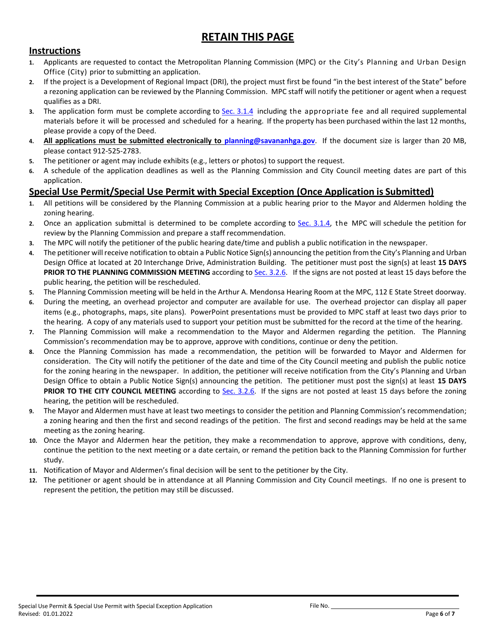# **RETAIN THIS PAGE**

## **Instructions**

- **1.** Applicants are requested to contact the Metropolitan Planning Commission (MPC) or the City's Planning and Urban Design Office (City) prior to submitting an application.
- **2.** If the project is a Development of Regional Impact (DRI), the project must first be found "in the best interest of the State" before a rezoning application can be reviewed by the Planning Commission. MPC staff will notify the petitioner or agent when a request qualifies as a DRI.
- **3.** The application form must be complete according to [Sec. 3.1.4](http://online.encodeplus.com/regs/savannah-ga/doc-viewer.aspx#secid-5100) including the appropriate fee and all required supplemental materials before it will be processed and scheduled for a hearing. If the property has been purchased within the last 12 months, please provide a copy of the Deed.
- **4. All applications must be submitted electronically to [planning@savananhga.gov](mailto:planning@savananhga.gov)**. If the document size is larger than 20 MB, please contact 912-525-2783.
- **5.** The petitioner or agent may include exhibits (e.g., letters or photos) to support the request.
- **6.** A schedule of the application deadlines as well as the Planning Commission and City Council meeting dates are part of this application.

## **Special Use Permit/Special Use Permit with Special Exception (Once Application is Submitted)**

- **1.** All petitions will be considered by the Planning Commission at a public hearing prior to the Mayor and Aldermen holding the zoning hearing.
- **2.** Once an application submittal is determined to be complete according to [Sec. 3.1.4,](http://online.encodeplus.com/regs/savannah-ga/doc-viewer.aspx#secid-5100) the MPC will schedule the petition for review by the Planning Commission and prepare a staff recommendation.
- **3.** The MPC will notify the petitioner of the public hearing date/time and publish a public notification in the newspaper.
- **4.** The petitioner will receive notification to obtain a Public Notice Sign(s) announcing the petition from the City's Planning and Urban Design Office at located at 20 Interchange Drive, Administration Building. The petitioner must post the sign(s) at least **15 DAYS PRIOR TO THE PLANNING COMMISSION MEETING** according to [Sec. 3.2.6.](http://online.encodeplus.com/regs/savannah-ga/doc-viewer.aspx#secid-5108) If the signs are not posted at least 15 days before the public hearing, the petition will be rescheduled.
- **5.** The Planning Commission meeting will be held in the Arthur A. Mendonsa Hearing Room at the MPC, 112 E State Street doorway.
- **6.** During the meeting, an overhead projector and computer are available for use. The overhead projector can display all paper items (e.g., photographs, maps, site plans). PowerPoint presentations must be provided to MPC staff at least two days prior to the hearing. A copy of any materials used to support your petition must be submitted for the record at the time of the hearing.
- **7.** The Planning Commission will make a recommendation to the Mayor and Aldermen regarding the petition. The Planning Commission's recommendation may be to approve, approve with conditions, continue or deny the petition.
- **8.** Once the Planning Commission has made a recommendation, the petition will be forwarded to Mayor and Aldermen for consideration. The City will notify the petitioner of the date and time of the City Council meeting and publish the public notice for the zoning hearing in the newspaper. In addition, the petitioner will receive notification from the City's Planning and Urban Design Office to obtain a Public Notice Sign(s) announcing the petition. The petitioner must post the sign(s) at least **15 DAYS PRIOR TO THE CITY COUNCIL MEETING** according to [Sec. 3.2.6.](http://online.encodeplus.com/regs/savannah-ga/doc-viewer.aspx#secid-5108) If the signs are not posted at least 15 days before the zoning hearing, the petition will be rescheduled.
- **9.** The Mayor and Aldermen must have at least two meetings to consider the petition and Planning Commission's recommendation; a zoning hearing and then the first and second readings of the petition. The first and second readings may be held at the same meeting as the zoning hearing.
- **10.** Once the Mayor and Aldermen hear the petition, they make a recommendation to approve, approve with conditions, deny, continue the petition to the next meeting or a date certain, or remand the petition back to the Planning Commission for further study.
- **11.** Notification of Mayor and Aldermen's final decision will be sent to the petitioner by the City.
- **12.** The petitioner or agent should be in attendance at all Planning Commission and City Council meetings. If no one is present to represent the petition, the petition may still be discussed.